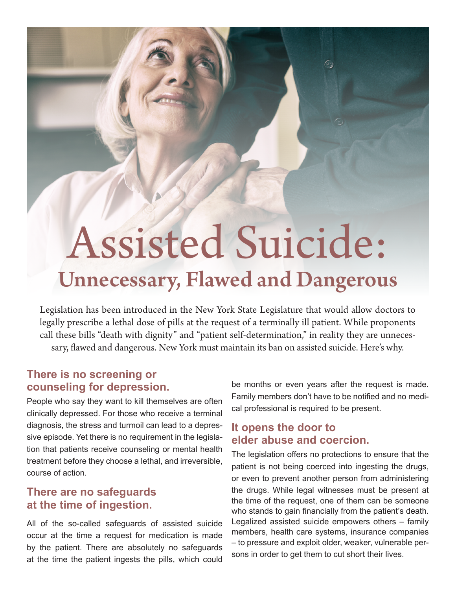# Assisted Suicide: Unnecessary, Flawed and Dangerous

Legislation has been introduced in the New York State Legislature that would allow doctors to legally prescribe a lethal dose of pills at the request of a terminally ill patient. While proponents call these bills "death with dignity" and "patient self-determination," in reality they are unnecessary, flawed and dangerous. New York must maintain its ban on assisted suicide. Here's why.

## **There is no screening or counseling for depression.**

People who say they want to kill themselves are often clinically depressed. For those who receive a terminal diagnosis, the stress and turmoil can lead to a depressive episode. Yet there is no requirement in the legislation that patients receive counseling or mental health treatment before they choose a lethal, and irreversible, course of action.

#### **There are no safeguards at the time of ingestion.**

All of the so-called safeguards of assisted suicide occur at the time a request for medication is made by the patient. There are absolutely no safeguards at the time the patient ingests the pills, which could be months or even years after the request is made. Family members don't have to be notified and no medical professional is required to be present.

 $\widehat{\mathbb{G}}$ 

## **It opens the door to elder abuse and coercion.**

The legislation offers no protections to ensure that the patient is not being coerced into ingesting the drugs, or even to prevent another person from administering the drugs. While legal witnesses must be present at the time of the request, one of them can be someone who stands to gain financially from the patient's death. Legalized assisted suicide empowers others – family members, health care systems, insurance companies – to pressure and exploit older, weaker, vulnerable persons in order to get them to cut short their lives.